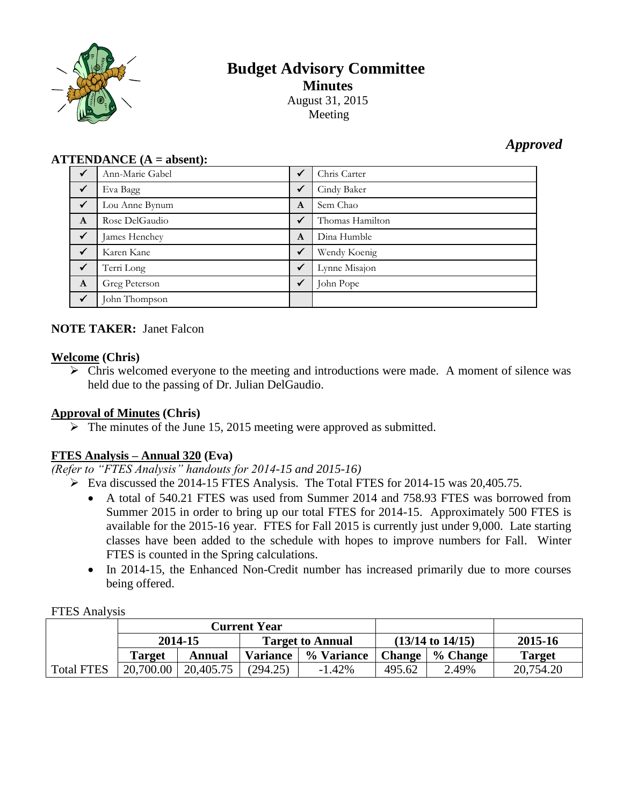

# **Budget Advisory Committee Minutes** August 31, 2015 Meeting

*Approved*

| $\bf ATTENDANCE$ ( $\bf A = absent$ ): |  |
|----------------------------------------|--|
|----------------------------------------|--|

| $\sqrt{}$    | Ann-Marie Gabel | $\checkmark$ | Chris Carter    |
|--------------|-----------------|--------------|-----------------|
| $\checkmark$ | Eva Bagg        | $\checkmark$ | Cindy Baker     |
| $\sqrt{}$    | Lou Anne Bynum  | $\mathbf{A}$ | Sem Chao        |
| $\mathbf{A}$ | Rose DelGaudio  | $\checkmark$ | Thomas Hamilton |
| $\checkmark$ | James Henchey   | $\mathbf{A}$ | Dina Humble     |
| $\checkmark$ | Karen Kane      | $\checkmark$ | Wendy Koenig    |
| $\checkmark$ | Terri Long      | $\checkmark$ | Lynne Misajon   |
| $\mathbf{A}$ | Greg Peterson   | $\checkmark$ | John Pope       |
| $\checkmark$ | John Thompson   |              |                 |

# **NOTE TAKER:** Janet Falcon

### **Welcome (Chris)**

 $\triangleright$  Chris welcomed everyone to the meeting and introductions were made. A moment of silence was held due to the passing of Dr. Julian DelGaudio.

# **Approval of Minutes (Chris)**

 $\triangleright$  The minutes of the June 15, 2015 meeting were approved as submitted.

# **FTES Analysis – Annual 320 (Eva)**

*(Refer to "FTES Analysis" handouts for 2014-15 and 2015-16)*

- $\triangleright$  Eva discussed the 2014-15 FTES Analysis. The Total FTES for 2014-15 was 20,405.75.
	- A total of 540.21 FTES was used from Summer 2014 and 758.93 FTES was borrowed from Summer 2015 in order to bring up our total FTES for 2014-15. Approximately 500 FTES is available for the 2015-16 year. FTES for Fall 2015 is currently just under 9,000. Late starting classes have been added to the schedule with hopes to improve numbers for Fall. Winter FTES is counted in the Spring calculations.
	- In 2014-15, the Enhanced Non-Credit number has increased primarily due to more courses being offered.

| <b>FTES Analysis</b> |  |
|----------------------|--|
|                      |  |

|                   | <b>Current Year</b>                |           |                             |            |         |          |               |
|-------------------|------------------------------------|-----------|-----------------------------|------------|---------|----------|---------------|
|                   | 2014-15<br><b>Target to Annual</b> |           | $(13/14 \text{ to } 14/15)$ |            | 2015-16 |          |               |
|                   | <b>Target</b>                      | Annual    | <b>Variance</b>             | % Variance | Change  | % Change | <b>Target</b> |
| <b>Total FTES</b> | 20,700.00                          | 20,405.75 | (294.25)                    | $-1.42%$   | 495.62  | 2.49%    | 20,754.20     |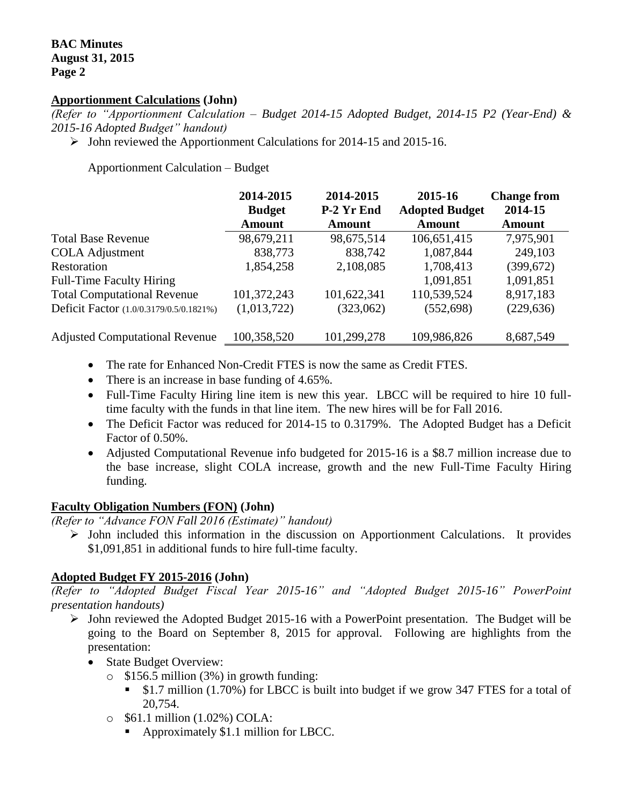#### **Apportionment Calculations (John)**

*(Refer to "Apportionment Calculation – Budget 2014-15 Adopted Budget, 2014-15 P2 (Year-End) & 2015-16 Adopted Budget" handout)*

 $\triangleright$  John reviewed the Apportionment Calculations for 2014-15 and 2015-16.

Apportionment Calculation – Budget

|                                         | 2014-2015<br><b>Budget</b> | 2014-2015<br>P-2 Yr End | 2015-16<br><b>Adopted Budget</b> | <b>Change from</b><br>2014-15 |
|-----------------------------------------|----------------------------|-------------------------|----------------------------------|-------------------------------|
|                                         | <b>Amount</b>              | <b>Amount</b>           | <b>Amount</b>                    | <b>Amount</b>                 |
| <b>Total Base Revenue</b>               | 98,679,211                 | 98,675,514              | 106,651,415                      | 7,975,901                     |
| <b>COLA Adjustment</b>                  | 838,773                    | 838,742                 | 1,087,844                        | 249,103                       |
| Restoration                             | 1,854,258                  | 2,108,085               | 1,708,413                        | (399, 672)                    |
| <b>Full-Time Faculty Hiring</b>         |                            |                         | 1,091,851                        | 1,091,851                     |
| <b>Total Computational Revenue</b>      | 101,372,243                | 101,622,341             | 110,539,524                      | 8,917,183                     |
| Deficit Factor (1.0/0.3179/0.5/0.1821%) | (1,013,722)                | (323,062)               | (552, 698)                       | (229, 636)                    |
| <b>Adjusted Computational Revenue</b>   | 100,358,520                | 101,299,278             | 109,986,826                      | 8,687,549                     |

- The rate for Enhanced Non-Credit FTES is now the same as Credit FTES.
- There is an increase in base funding of 4.65%.
- Full-Time Faculty Hiring line item is new this year. LBCC will be required to hire 10 fulltime faculty with the funds in that line item. The new hires will be for Fall 2016.
- The Deficit Factor was reduced for 2014-15 to 0.3179%. The Adopted Budget has a Deficit Factor of 0.50%.
- Adjusted Computational Revenue info budgeted for 2015-16 is a \$8.7 million increase due to the base increase, slight COLA increase, growth and the new Full-Time Faculty Hiring funding.

#### **Faculty Obligation Numbers (FON) (John)**

*(Refer to "Advance FON Fall 2016 (Estimate)" handout)*

 $\triangleright$  John included this information in the discussion on Apportionment Calculations. It provides \$1,091,851 in additional funds to hire full-time faculty.

# **Adopted Budget FY 2015-2016 (John)**

*(Refer to "Adopted Budget Fiscal Year 2015-16" and "Adopted Budget 2015-16" PowerPoint presentation handouts)*

- $\triangleright$  John reviewed the Adopted Budget 2015-16 with a PowerPoint presentation. The Budget will be going to the Board on September 8, 2015 for approval. Following are highlights from the presentation:
	- State Budget Overview:
		- $\circ$  \$156.5 million (3%) in growth funding:
			- \$1.7 million (1.70%) for LBCC is built into budget if we grow 347 FTES for a total of 20,754.
		- o \$61.1 million (1.02%) COLA:
			- Approximately \$1.1 million for LBCC.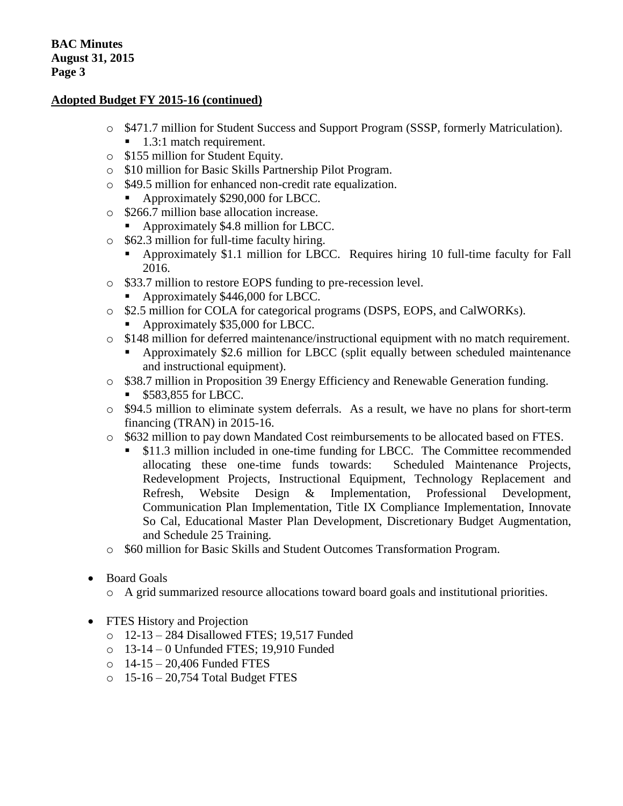# **Adopted Budget FY 2015-16 (continued)**

- o \$471.7 million for Student Success and Support Program (SSSP, formerly Matriculation).
	- $\blacksquare$  1.3:1 match requirement.
- o \$155 million for Student Equity.
- o \$10 million for Basic Skills Partnership Pilot Program.
- o \$49.5 million for enhanced non-credit rate equalization.
	- Approximately \$290,000 for LBCC.
- o \$266.7 million base allocation increase.
	- Approximately \$4.8 million for LBCC.
- o \$62.3 million for full-time faculty hiring.
	- Approximately \$1.1 million for LBCC. Requires hiring 10 full-time faculty for Fall 2016.
- o \$33.7 million to restore EOPS funding to pre-recession level.
	- Approximately \$446,000 for LBCC.
- o \$2.5 million for COLA for categorical programs (DSPS, EOPS, and CalWORKs).
	- Approximately \$35,000 for LBCC.
- o \$148 million for deferred maintenance/instructional equipment with no match requirement.
	- Approximately \$2.6 million for LBCC (split equally between scheduled maintenance and instructional equipment).
- o \$38.7 million in Proposition 39 Energy Efficiency and Renewable Generation funding.
	- \$583,855 for LBCC.
- o \$94.5 million to eliminate system deferrals. As a result, we have no plans for short-term financing (TRAN) in 2015-16.
- o \$632 million to pay down Mandated Cost reimbursements to be allocated based on FTES.
	- \$11.3 million included in one-time funding for LBCC. The Committee recommended allocating these one-time funds towards: Scheduled Maintenance Projects, Redevelopment Projects, Instructional Equipment, Technology Replacement and Refresh, Website Design & Implementation, Professional Development, Communication Plan Implementation, Title IX Compliance Implementation, Innovate So Cal, Educational Master Plan Development, Discretionary Budget Augmentation, and Schedule 25 Training.
- o \$60 million for Basic Skills and Student Outcomes Transformation Program.
- Board Goals
	- o A grid summarized resource allocations toward board goals and institutional priorities.
- FTES History and Projection
	- o 12-13 284 Disallowed FTES; 19,517 Funded
	- o 13-14 0 Unfunded FTES; 19,910 Funded
	- o 14-15 20,406 Funded FTES
	- o 15-16 20,754 Total Budget FTES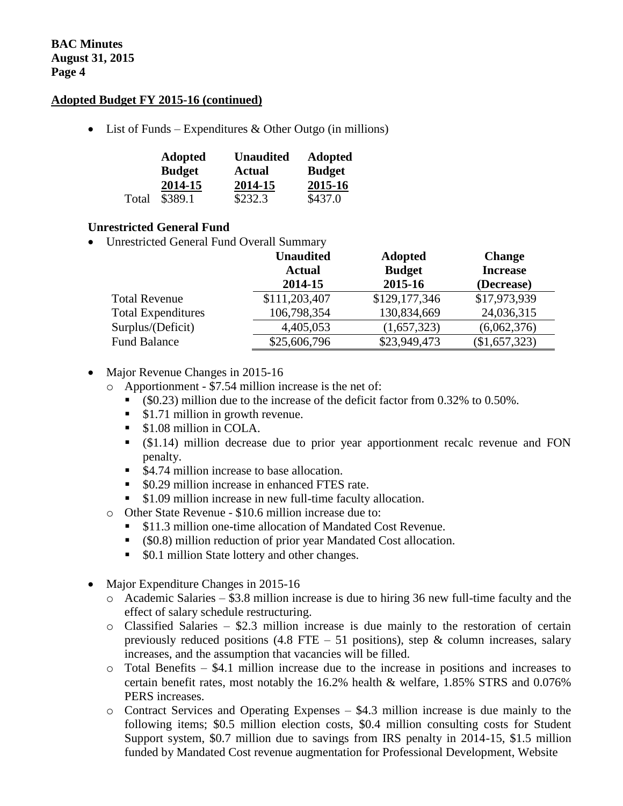### **Adopted Budget FY 2015-16 (continued)**

• List of Funds – Expenditures & Other Outgo (in millions)

|       | <b>Adopted</b> | <b>Unaudited</b> | <b>Adopted</b> |
|-------|----------------|------------------|----------------|
|       | <b>Budget</b>  | <b>Actual</b>    | <b>Budget</b>  |
|       | 2014-15        | 2014-15          | 2015-16        |
| Total | \$389.1        | \$232.3          | \$437.0        |

### **Unrestricted General Fund**

Unrestricted General Fund Overall Summary

|                           | <b>Unaudited</b> | <b>Adopted</b> | <b>Change</b>   |
|---------------------------|------------------|----------------|-----------------|
|                           | <b>Actual</b>    | <b>Budget</b>  | <b>Increase</b> |
|                           | 2014-15          | 2015-16        | (Decrease)      |
| <b>Total Revenue</b>      | \$111,203,407    | \$129,177,346  | \$17,973,939    |
| <b>Total Expenditures</b> | 106,798,354      | 130,834,669    | 24,036,315      |
| Surplus/(Deficit)         | 4,405,053        | (1,657,323)    | (6,062,376)     |
| <b>Fund Balance</b>       | \$25,606,796     | \$23,949,473   | (\$1,657,323)   |

- Major Revenue Changes in 2015-16
	- o Apportionment \$7.54 million increase is the net of:
		- (\$0.23) million due to the increase of the deficit factor from 0.32% to 0.50%.
		- $\bullet$  \$1.71 million in growth revenue.
		- **S1.08 million in COLA.**
		- (\$1.14) million decrease due to prior year apportionment recalc revenue and FON penalty.
		- \$4.74 million increase to base allocation.
		- $\bullet$  \$0.29 million increase in enhanced FTES rate.
		- **S1.09 million increase in new full-time faculty allocation.**
	- o Other State Revenue \$10.6 million increase due to:
		- \$11.3 million one-time allocation of Mandated Cost Revenue.
		- (\$0.8) million reduction of prior year Mandated Cost allocation.
		- \$0.1 million State lottery and other changes.
- Major Expenditure Changes in 2015-16
	- $\circ$  Academic Salaries \$3.8 million increase is due to hiring 36 new full-time faculty and the effect of salary schedule restructuring.
	- $\circ$  Classified Salaries \$2.3 million increase is due mainly to the restoration of certain previously reduced positions (4.8 FTE – 51 positions), step & column increases, salary increases, and the assumption that vacancies will be filled.
	- o Total Benefits \$4.1 million increase due to the increase in positions and increases to certain benefit rates, most notably the 16.2% health & welfare, 1.85% STRS and 0.076% PERS increases.
	- o Contract Services and Operating Expenses \$4.3 million increase is due mainly to the following items; \$0.5 million election costs, \$0.4 million consulting costs for Student Support system, \$0.7 million due to savings from IRS penalty in 2014-15, \$1.5 million funded by Mandated Cost revenue augmentation for Professional Development, Website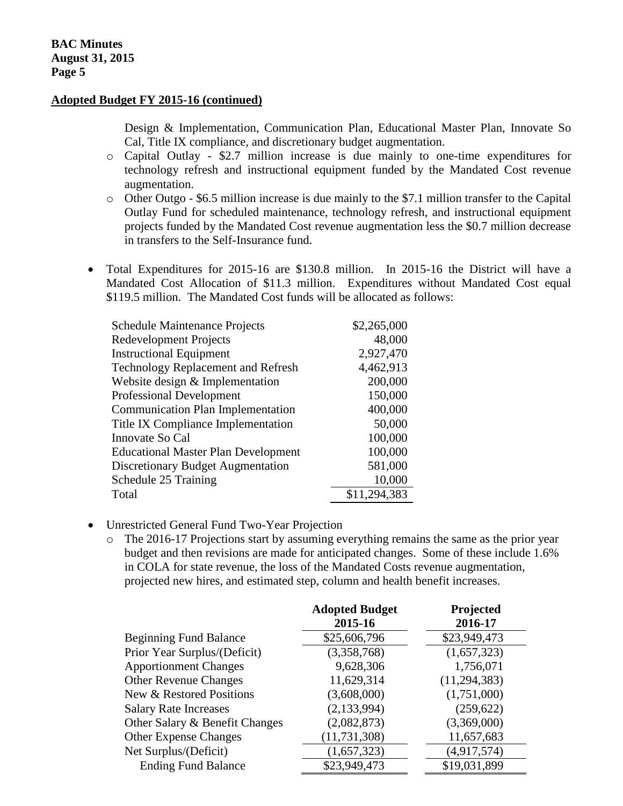#### **Adopted Budget FY 2015-16 (continued)**

Design & Implementation, Communication Plan, Educational Master Plan, Innovate So Cal, Title IX compliance, and discretionary budget augmentation.

- o Capital Outlay \$2.7 million increase is due mainly to one-time expenditures for technology refresh and instructional equipment funded by the Mandated Cost revenue augmentation.
- o Other Outgo \$6.5 million increase is due mainly to the \$7.1 million transfer to the Capital Outlay Fund for scheduled maintenance, technology refresh, and instructional equipment projects funded by the Mandated Cost revenue augmentation less the \$0.7 million decrease in transfers to the Self-Insurance fund.
- Total Expenditures for 2015-16 are \$130.8 million. In 2015-16 the District will have a Mandated Cost Allocation of \$11.3 million. Expenditures without Mandated Cost equal \$119.5 million. The Mandated Cost funds will be allocated as follows:

| <b>Schedule Maintenance Projects</b>       | \$2,265,000  |
|--------------------------------------------|--------------|
| <b>Redevelopment Projects</b>              | 48,000       |
| <b>Instructional Equipment</b>             | 2,927,470    |
| <b>Technology Replacement and Refresh</b>  | 4,462,913    |
| Website design & Implementation            | 200,000      |
| <b>Professional Development</b>            | 150,000      |
| <b>Communication Plan Implementation</b>   | 400,000      |
| Title IX Compliance Implementation         | 50,000       |
| Innovate So Cal                            | 100,000      |
| <b>Educational Master Plan Development</b> | 100,000      |
| <b>Discretionary Budget Augmentation</b>   | 581,000      |
| Schedule 25 Training                       | 10,000       |
| Total                                      | \$11,294,383 |

- Unrestricted General Fund Two-Year Projection
	- o The 2016-17 Projections start by assuming everything remains the same as the prior year budget and then revisions are made for anticipated changes. Some of these include 1.6% in COLA for state revenue, the loss of the Mandated Costs revenue augmentation, projected new hires, and estimated step, column and health benefit increases.

|                                | <b>Adopted Budget</b><br>2015-16 | Projected<br>2016-17 |
|--------------------------------|----------------------------------|----------------------|
| <b>Beginning Fund Balance</b>  | \$25,606,796                     | \$23,949,473         |
| Prior Year Surplus/(Deficit)   | (3,358,768)                      | (1,657,323)          |
| <b>Apportionment Changes</b>   | 9,628,306                        | 1,756,071            |
| <b>Other Revenue Changes</b>   | 11,629,314                       | (11, 294, 383)       |
| New & Restored Positions       | (3,608,000)                      | (1,751,000)          |
| <b>Salary Rate Increases</b>   | (2, 133, 994)                    | (259, 622)           |
| Other Salary & Benefit Changes | (2,082,873)                      | (3,369,000)          |
| <b>Other Expense Changes</b>   | (11, 731, 308)                   | 11,657,683           |
| Net Surplus/(Deficit)          | (1,657,323)                      | (4,917,574)          |
| <b>Ending Fund Balance</b>     | \$23,949,473                     | \$19,031,899         |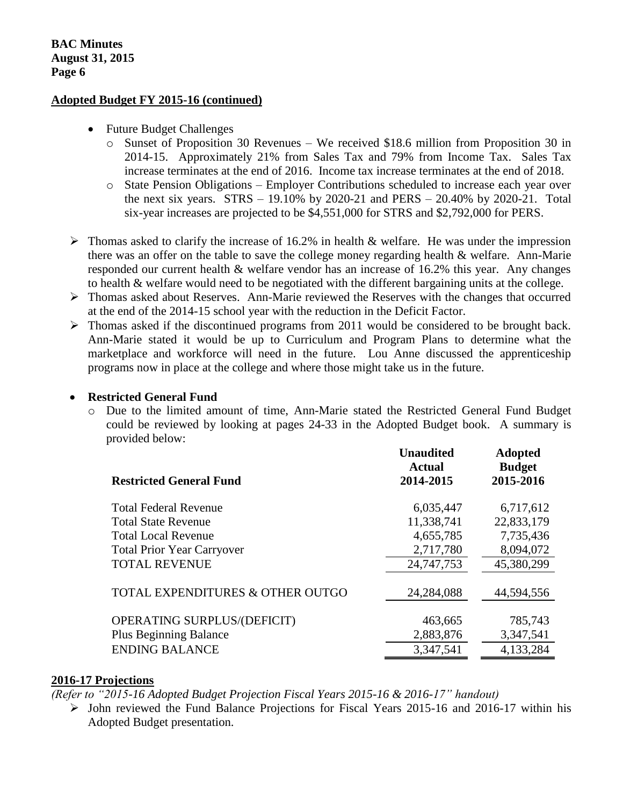#### **Adopted Budget FY 2015-16 (continued)**

- Future Budget Challenges
	- o Sunset of Proposition 30 Revenues We received \$18.6 million from Proposition 30 in 2014-15. Approximately 21% from Sales Tax and 79% from Income Tax. Sales Tax increase terminates at the end of 2016. Income tax increase terminates at the end of 2018.
	- o State Pension Obligations Employer Contributions scheduled to increase each year over the next six years. STRS – 19.10% by 2020-21 and PERS – 20.40% by 2020-21. Total six-year increases are projected to be \$4,551,000 for STRS and \$2,792,000 for PERS.
- $\triangleright$  Thomas asked to clarify the increase of 16.2% in health & welfare. He was under the impression there was an offer on the table to save the college money regarding health & welfare. Ann-Marie responded our current health & welfare vendor has an increase of 16.2% this year. Any changes to health & welfare would need to be negotiated with the different bargaining units at the college.
- Thomas asked about Reserves. Ann-Marie reviewed the Reserves with the changes that occurred at the end of the 2014-15 school year with the reduction in the Deficit Factor.
- $\triangleright$  Thomas asked if the discontinued programs from 2011 would be considered to be brought back. Ann-Marie stated it would be up to Curriculum and Program Plans to determine what the marketplace and workforce will need in the future. Lou Anne discussed the apprenticeship programs now in place at the college and where those might take us in the future.

## **• Restricted General Fund**

o Due to the limited amount of time, Ann-Marie stated the Restricted General Fund Budget could be reviewed by looking at pages 24-33 in the Adopted Budget book. A summary is provided below:

|                                   | <b>Unaudited</b><br>Actual | <b>Adopted</b><br><b>Budget</b> |
|-----------------------------------|----------------------------|---------------------------------|
| <b>Restricted General Fund</b>    | 2014-2015                  | 2015-2016                       |
| <b>Total Federal Revenue</b>      | 6,035,447                  | 6,717,612                       |
| <b>Total State Revenue</b>        | 11,338,741                 | 22,833,179                      |
| <b>Total Local Revenue</b>        | 4,655,785                  | 7,735,436                       |
| <b>Total Prior Year Carryover</b> | 2,717,780                  | 8,094,072                       |
| <b>TOTAL REVENUE</b>              | 24,747,753                 | 45,380,299                      |
| TOTAL EXPENDITURES & OTHER OUTGO  | 24,284,088                 | 44,594,556                      |
| OPERATING SURPLUS/(DEFICIT)       | 463,665                    | 785,743                         |
| <b>Plus Beginning Balance</b>     | 2,883,876                  | 3,347,541                       |
| <b>ENDING BALANCE</b>             | 3,347,541                  | 4,133,284                       |

#### **2016-17 Projections**

*(Refer to "2015-16 Adopted Budget Projection Fiscal Years 2015-16 & 2016-17" handout)*

 $\triangleright$  John reviewed the Fund Balance Projections for Fiscal Years 2015-16 and 2016-17 within his Adopted Budget presentation.